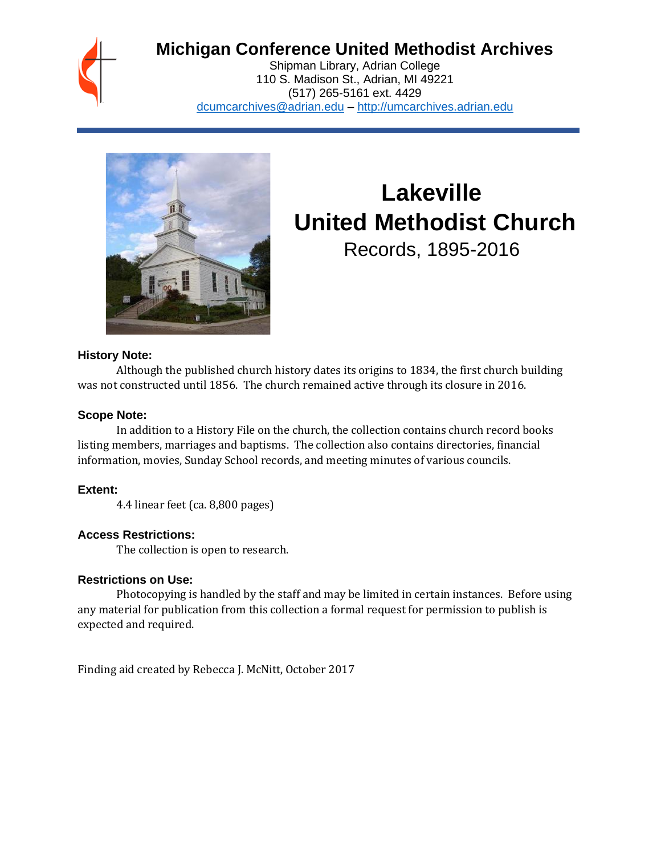## **Michigan Conference United Methodist Archives**

Shipman Library, Adrian College 110 S. Madison St., Adrian, MI 49221 (517) 265-5161 ext. 4429 [dcumcarchives@adrian.edu](mailto:dcumcarchives@adrian.edu) – [http://umcarchives.adrian.edu](http://umcarchives.adrian.edu/)



# **Lakeville United Methodist Church** Records, 1895-2016

#### **History Note:**

Although the published church history dates its origins to 1834, the first church building was not constructed until 1856. The church remained active through its closure in 2016.

#### **Scope Note:**

In addition to a History File on the church, the collection contains church record books listing members, marriages and baptisms. The collection also contains directories, financial information, movies, Sunday School records, and meeting minutes of various councils.

#### **Extent:**

4.4 linear feet (ca. 8,800 pages)

#### **Access Restrictions:**

The collection is open to research.

#### **Restrictions on Use:**

Photocopying is handled by the staff and may be limited in certain instances. Before using any material for publication from this collection a formal request for permission to publish is expected and required.

Finding aid created by Rebecca J. McNitt, October 2017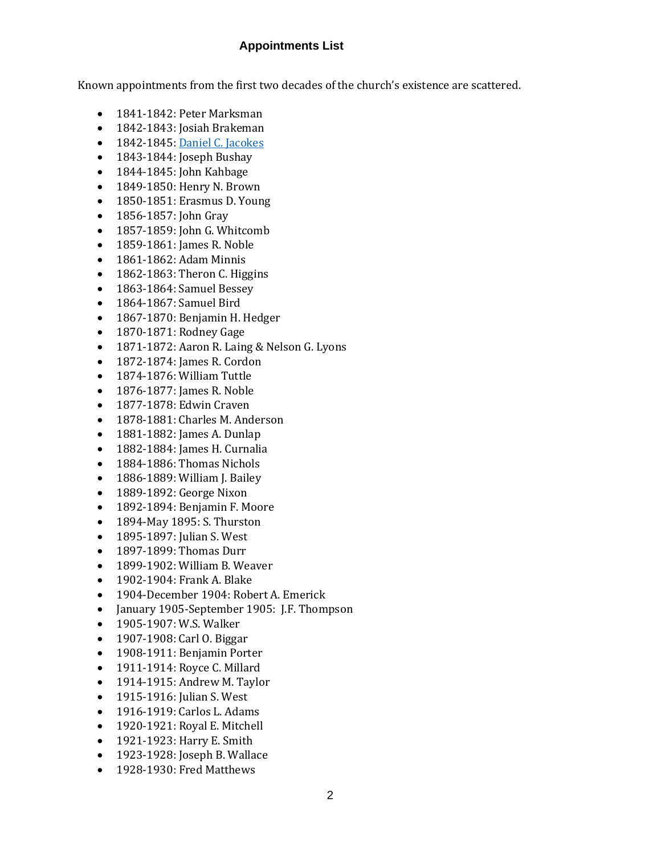#### **Appointments List**

Known appointments from the first two decades of the church's existence are scattered.

- 1841-1842: Peter Marksman
- 1842-1843: Josiah Brakeman
- 1842-1845[: Daniel C. Jacokes](http://umcarchives.adrian.edu/clergy/jacokesdc.php)
- 1843-1844: Joseph Bushay
- 1844-1845: John Kahbage
- 1849-1850: Henry N. Brown
- 1850-1851: Erasmus D. Young
- 1856-1857: John Gray
- 1857-1859: John G. Whitcomb
- 1859-1861: James R. Noble
- 1861-1862: Adam Minnis
- $\bullet$  1862-1863: Theron C. Higgins
- 1863-1864: Samuel Bessey
- 1864-1867: Samuel Bird
- 1867-1870: Benjamin H. Hedger
- 1870-1871: Rodney Gage
- 1871-1872: Aaron R. Laing & Nelson G. Lyons
- 1872-1874: James R. Cordon
- 1874-1876: William Tuttle
- 1876-1877: James R. Noble
- 1877-1878: Edwin Craven
- 1878-1881: Charles M. Anderson
- 1881-1882: James A. Dunlap
- 1882-1884: James H. Curnalia
- 1884-1886: Thomas Nichols
- 1886-1889: William J. Bailey
- 1889-1892: George Nixon
- 1892-1894: Benjamin F. Moore
- 1894-May 1895: S. Thurston
- 1895-1897: Julian S. West
- 1897-1899: Thomas Durr
- 1899-1902: William B. Weaver
- 1902-1904: Frank A. Blake
- 1904-December 1904: Robert A. Emerick
- January 1905-September 1905: J.F. Thompson
- 1905-1907: W.S. Walker
- 1907-1908: Carl O. Biggar
- 1908-1911: Benjamin Porter
- 1911-1914: Royce C. Millard
- 1914-1915: Andrew M. Taylor
- 1915-1916: Julian S. West
- 1916-1919: Carlos L. Adams
- 1920-1921: Royal E. Mitchell
- 1921-1923: Harry E. Smith
- 1923-1928: Joseph B. Wallace
- 1928-1930: Fred Matthews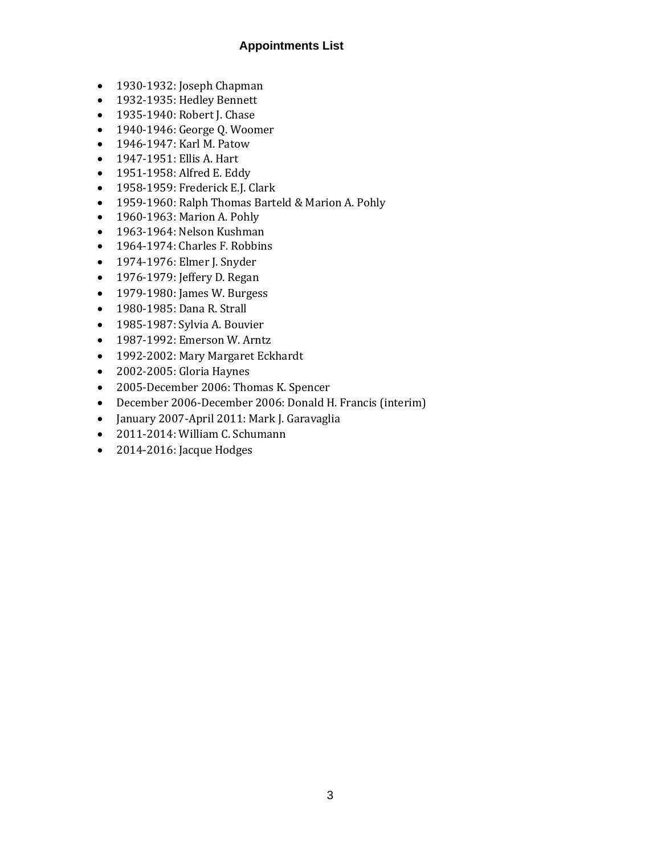#### **Appointments List**

- 1930-1932: Joseph Chapman
- 1932-1935: Hedley Bennett
- 1935-1940: Robert J. Chase
- 1940-1946: George Q. Woomer
- 1946-1947: Karl M. Patow
- 1947-1951: Ellis A. Hart
- 1951-1958: Alfred E. Eddy
- 1958-1959: Frederick E.J. Clark
- 1959-1960: Ralph Thomas Barteld & Marion A. Pohly
- 1960-1963: Marion A. Pohly
- 1963-1964: Nelson Kushman
- 1964-1974: Charles F. Robbins
- 1974-1976: Elmer J. Snyder
- 1976-1979: Jeffery D. Regan
- 1979-1980: James W. Burgess
- 1980-1985: Dana R. Strall
- 1985-1987: Sylvia A. Bouvier
- 1987-1992: Emerson W. Arntz
- 1992-2002: Mary Margaret Eckhardt
- 2002-2005: Gloria Haynes
- 2005-December 2006: Thomas K. Spencer
- December 2006-December 2006: Donald H. Francis (interim)
- January 2007-April 2011: Mark J. Garavaglia
- 2011-2014: William C. Schumann
- 2014-2016: Jacque Hodges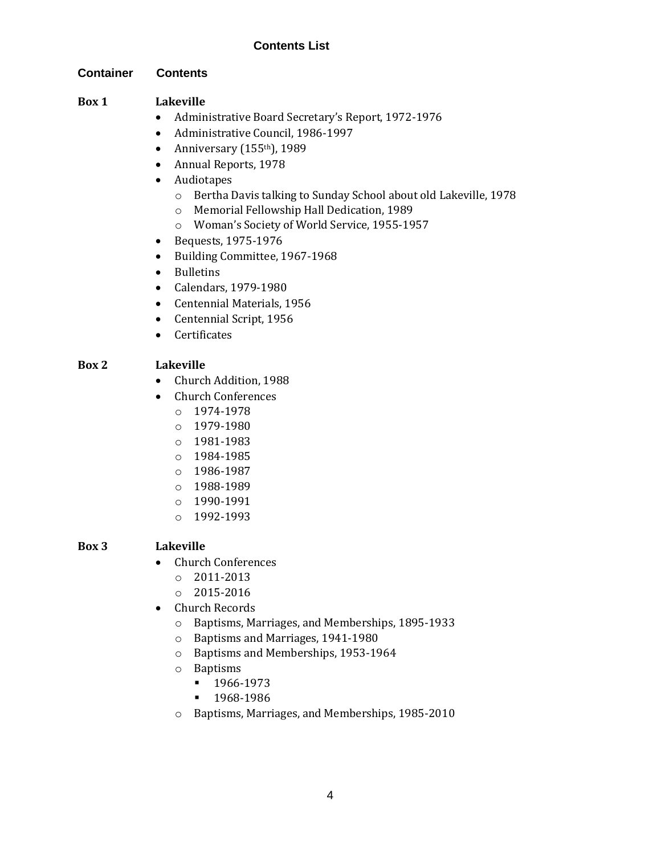#### **Container Contents**

#### **Box 1 Lakeville**

- Administrative Board Secretary's Report, 1972-1976
- Administrative Council, 1986-1997
- Anniversary  $(155<sup>th</sup>)$ , 1989
- Annual Reports, 1978
- Audiotapes
	- o Bertha Davis talking to Sunday School about old Lakeville, 1978
	- o Memorial Fellowship Hall Dedication, 1989
	- o Woman's Society of World Service, 1955-1957
- Bequests, 1975-1976
- Building Committee, 1967-1968
- Bulletins
- Calendars, 1979-1980
- Centennial Materials, 1956
- Centennial Script, 1956
- Certificates

### **Box 2 Lakeville**

- Church Addition, 1988
- Church Conferences
	- o 1974-1978
	- o 1979-1980
	- o 1981-1983
	- o 1984-1985
	- o 1986-1987
	- o 1988-1989
	- o 1990-1991
	- o 1992-1993

### **Box 3 Lakeville**

- Church Conferences
	- o 2011-2013
	- $o$  2015-2016
- Church Records
	- o Baptisms, Marriages, and Memberships, 1895-1933
	- o Baptisms and Marriages, 1941-1980
	- o Baptisms and Memberships, 1953-1964
	- o Baptisms
		- 1966-1973
		- 1968-1986
	- o Baptisms, Marriages, and Memberships, 1985-2010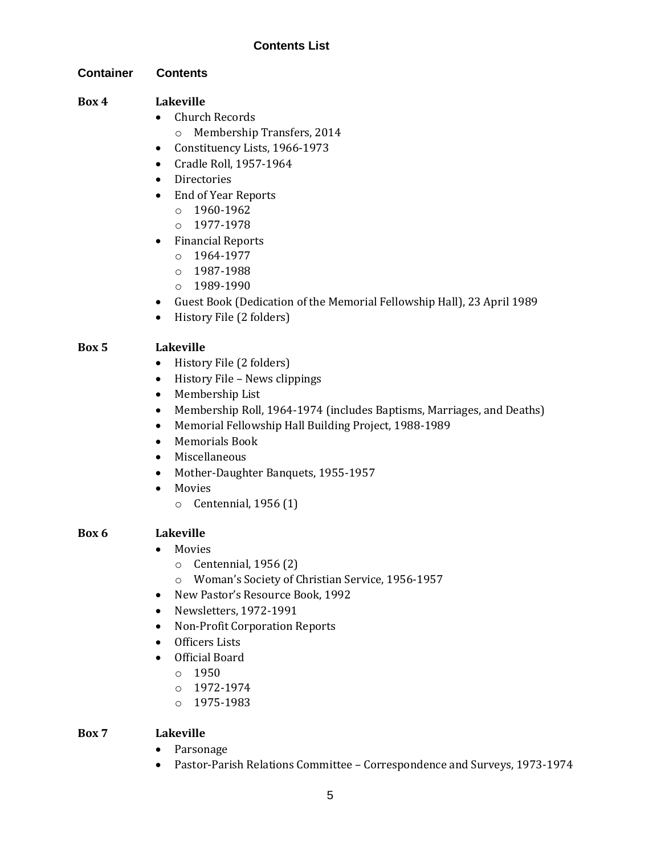#### **Container Contents**

#### **Box 4 Lakeville**

- Church Records
	- o Membership Transfers, 2014
- Constituency Lists, 1966-1973
- Cradle Roll, 1957-1964
- Directories
- End of Year Reports
	- $0.1960 1962$
	- o 1977-1978
- Financial Reports
	- o 1964-1977
	- o 1987-1988
	- o 1989-1990
- Guest Book (Dedication of the Memorial Fellowship Hall), 23 April 1989
- History File (2 folders)

#### **Box 5 Lakeville**

- History File (2 folders)
- History File News clippings
- Membership List
- Membership Roll, 1964-1974 (includes Baptisms, Marriages, and Deaths)
- Memorial Fellowship Hall Building Project, 1988-1989
- Memorials Book
- Miscellaneous
- Mother-Daughter Banquets, 1955-1957
- Movies
	- o Centennial, 1956 (1)

#### **Box 6 Lakeville**

- Movies
	- o Centennial, 1956 (2)
	- o Woman's Society of Christian Service, 1956-1957
- New Pastor's Resource Book, 1992
- Newsletters, 1972-1991
- Non-Profit Corporation Reports
- Officers Lists
- Official Board
	- o 1950
	- o 1972-1974
	- o 1975-1983

#### **Box 7 Lakeville**

- Parsonage
- Pastor-Parish Relations Committee Correspondence and Surveys, 1973-1974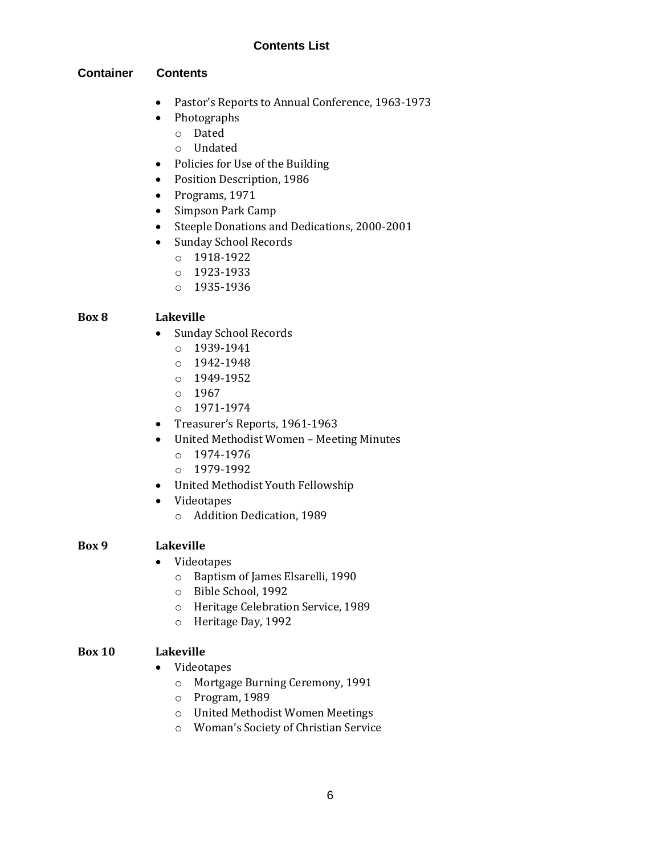#### **Container Contents**

- Pastor's Reports to Annual Conference, 1963-1973
- Photographs
	- o Dated
	- o Undated
- Policies for Use of the Building
- Position Description, 1986
- Programs, 1971
- Simpson Park Camp
- Steeple Donations and Dedications, 2000-2001
- Sunday School Records
	- o 1918-1922
	- o 1923-1933
	- o 1935-1936

#### **Box 8 Lakeville**

- Sunday School Records
	- o 1939-1941
	- o 1942-1948
	- o 1949-1952
	- o 1967
	- o 1971-1974
- Treasurer's Reports, 1961-1963
- United Methodist Women Meeting Minutes
	- o 1974-1976
	- o 1979-1992
- United Methodist Youth Fellowship
- Videotapes
	- o Addition Dedication, 1989

#### **Box 9 Lakeville**

- Videotapes
	- o Baptism of James Elsarelli, 1990
	- o Bible School, 1992
	- o Heritage Celebration Service, 1989
	- o Heritage Day, 1992

#### **Box 10 Lakeville**

- Videotapes
	- o Mortgage Burning Ceremony, 1991
	- o Program, 1989
	- o United Methodist Women Meetings
	- o Woman's Society of Christian Service